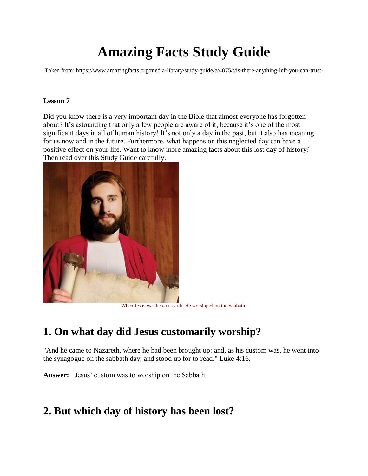# **Amazing Facts Study Guide**

Taken from: https://www.amazingfacts.org/media-library/study-guide/e/4875/t/is-there-anything-left-you-can-trust-

#### **Lesson 7**

Did you know there is a very important day in the Bible that almost everyone has forgotten about? It's astounding that only a few people are aware of it, because it's one of the most significant days in all of human history! It's not only a day in the past, but it also has meaning for us now and in the future. Furthermore, what happens on this neglected day can have a positive effect on your life. Want to know more amazing facts about this lost day of history? Then read over this Study Guide carefully.



When Jesus was here on earth, He worshiped on the Sabbath.

### **1. On what day did Jesus customarily worship?**

"And he came to Nazareth, where he had been brought up: and, as his custom was, he went into the synagogue on the sabbath day, and stood up for to read." Luke 4:16.

**Answer:** Jesus' custom was to worship on the Sabbath.

### **2. But which day of history has been lost?**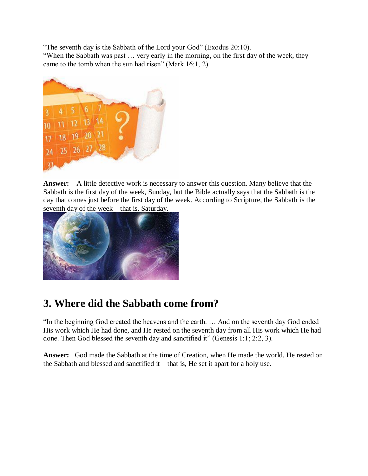"The seventh day is the Sabbath of the Lord your God" (Exodus 20:10). "When the Sabbath was past … very early in the morning, on the first day of the week, they came to the tomb when the sun had risen" (Mark 16:1, 2).



**Answer:** A little detective work is necessary to answer this question. Many believe that the Sabbath is the first day of the week, Sunday, but the Bible actually says that the Sabbath is the day that comes just before the first day of the week. According to Scripture, the Sabbath is the seventh day of the week—that is, Saturday.



# **3. Where did the Sabbath come from?**

"In the beginning God created the heavens and the earth. … And on the seventh day God ended His work which He had done, and He rested on the seventh day from all His work which He had done. Then God blessed the seventh day and sanctified it" (Genesis 1:1; 2:2, 3).

**Answer:** God made the Sabbath at the time of Creation, when He made the world. He rested on the Sabbath and blessed and sanctified it—that is, He set it apart for a holy use.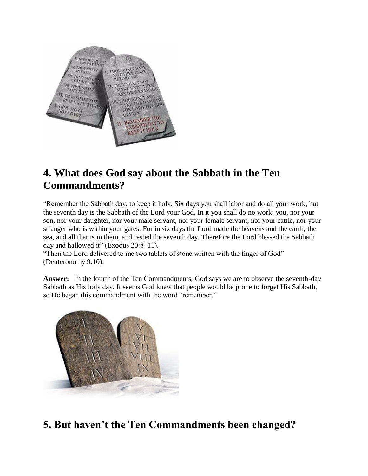

# **4. What does God say about the Sabbath in the Ten Commandments?**

"Remember the Sabbath day, to keep it holy. Six days you shall labor and do all your work, but the seventh day is the Sabbath of the Lord your God. In it you shall do no work: you, nor your son, nor your daughter, nor your male servant, nor your female servant, nor your cattle, nor your stranger who is within your gates. For in six days the Lord made the heavens and the earth, the sea, and all that is in them, and rested the seventh day. Therefore the Lord blessed the Sabbath day and hallowed it" (Exodus 20:8–11).

"Then the Lord delivered to me two tablets of stone written with the finger of God" (Deuteronomy 9:10).

**Answer:** In the fourth of the Ten Commandments, God says we are to observe the seventh-day Sabbath as His holy day. It seems God knew that people would be prone to forget His Sabbath, so He began this commandment with the word "remember."



# **5. But haven't the Ten Commandments been changed?**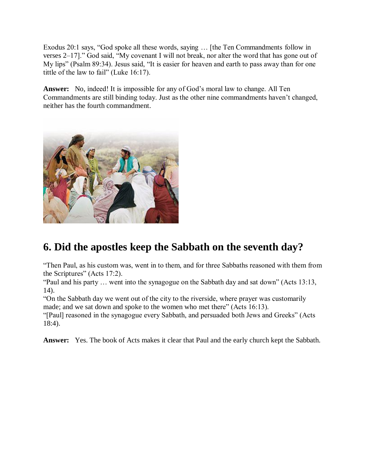Exodus 20:1 says, "God spoke all these words, saying … [the Ten Commandments follow in verses 2–17]." God said, "My covenant I will not break, nor alter the word that has gone out of My lips" (Psalm 89:34). Jesus said, "It is easier for heaven and earth to pass away than for one tittle of the law to fail" (Luke 16:17).

**Answer:** No, indeed! It is impossible for any of God's moral law to change. All Ten Commandments are still binding today. Just as the other nine commandments haven't changed, neither has the fourth commandment.



# **6. Did the apostles keep the Sabbath on the seventh day?**

"Then Paul, as his custom was, went in to them, and for three Sabbaths reasoned with them from the Scriptures" (Acts 17:2).

"Paul and his party … went into the synagogue on the Sabbath day and sat down" (Acts 13:13, 14).

"On the Sabbath day we went out of the city to the riverside, where prayer was customarily made; and we sat down and spoke to the women who met there" (Acts 16:13).

"[Paul] reasoned in the synagogue every Sabbath, and persuaded both Jews and Greeks" (Acts 18:4).

**Answer:** Yes. The book of Acts makes it clear that Paul and the early church kept the Sabbath.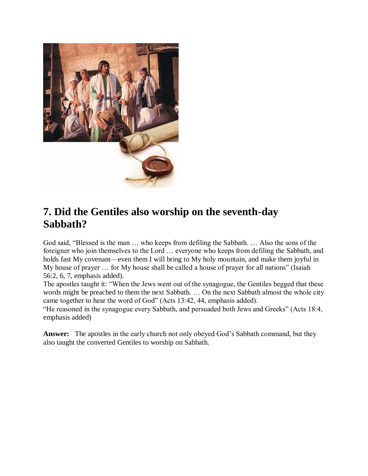

### **7. Did the Gentiles also worship on the seventh-day Sabbath?**

God said, "Blessed is the man … who keeps from defiling the Sabbath. … Also the sons of the foreigner who join themselves to the Lord … everyone who keeps from defiling the Sabbath, and holds fast My covenant—even them I will bring to My holy mountain, and make them joyful in My house of prayer … for My house shall be called a house of prayer for all nations" (Isaiah 56:2, 6, 7, emphasis added).

The apostles taught it: "When the Jews went out of the synagogue, the Gentiles begged that these words might be preached to them the next Sabbath. … On the next Sabbath almost the whole city came together to hear the word of God" (Acts 13:42, 44, emphasis added).

"He reasoned in the synagogue every Sabbath, and persuaded both Jews and Greeks" (Acts 18:4, emphasis added)

**Answer:** The apostles in the early church not only obeyed God's Sabbath command, but they also taught the converted Gentiles to worship on Sabbath.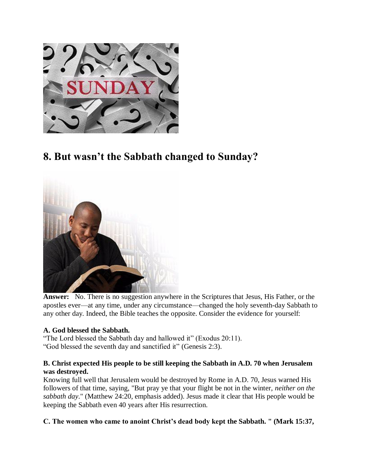

# **8. But wasn't the Sabbath changed to Sunday?**



**Answer:** No. There is no suggestion anywhere in the Scriptures that Jesus, His Father, or the apostles ever—at any time, under any circumstance—changed the holy seventh-day Sabbath to any other day. Indeed, the Bible teaches the opposite. Consider the evidence for yourself:

### **A. God blessed the Sabbath.**

"The Lord blessed the Sabbath day and hallowed it" (Exodus 20:11). "God blessed the seventh day and sanctified it" (Genesis 2:3).

### **B. Christ expected His people to be still keeping the Sabbath in A.D. 70 when Jerusalem was destroyed.**

Knowing full well that Jerusalem would be destroyed by Rome in A.D. 70, Jesus warned His followers of that time, saying, "But pray ye that your flight be not in the winter, *neither on the sabbath day*." (Matthew 24:20, emphasis added). Jesus made it clear that His people would be keeping the Sabbath even 40 years after His resurrection.

### **C. The women who came to anoint Christ's dead body kept the Sabbath. " (Mark 15:37,**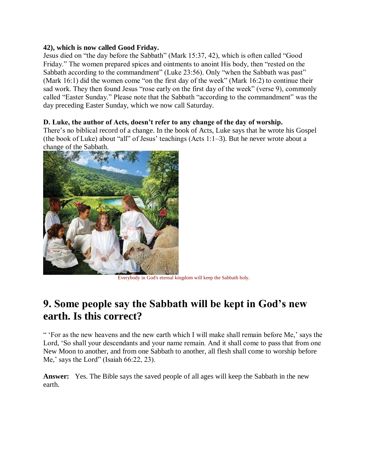#### **42), which is now called Good Friday.**

Jesus died on "the day before the Sabbath" (Mark 15:37, 42), which is often called "Good Friday." The women prepared spices and ointments to anoint His body, then "rested on the Sabbath according to the commandment" (Luke 23:56). Only "when the Sabbath was past" (Mark 16:1) did the women come "on the first day of the week" (Mark 16:2) to continue their sad work. They then found Jesus "rose early on the first day of the week" (verse 9), commonly called "Easter Sunday." Please note that the Sabbath "according to the commandment" was the day preceding Easter Sunday, which we now call Saturday.

### **D. Luke, the author of Acts, doesn't refer to any change of the day of worship.**

There's no biblical record of a change. In the book of Acts, Luke says that he wrote his Gospel (the book of Luke) about "all" of Jesus' teachings (Acts 1:1–3). But he never wrote about a change of the Sabbath.



Everybody in God's eternal kingdom will keep the Sabbath holy.

### **9. Some people say the Sabbath will be kept in God's new earth. Is this correct?**

" 'For as the new heavens and the new earth which I will make shall remain before Me,' says the Lord, 'So shall your descendants and your name remain. And it shall come to pass that from one New Moon to another, and from one Sabbath to another, all flesh shall come to worship before Me,' says the Lord" (Isaiah 66:22, 23).

**Answer:** Yes. The Bible says the saved people of all ages will keep the Sabbath in the new earth.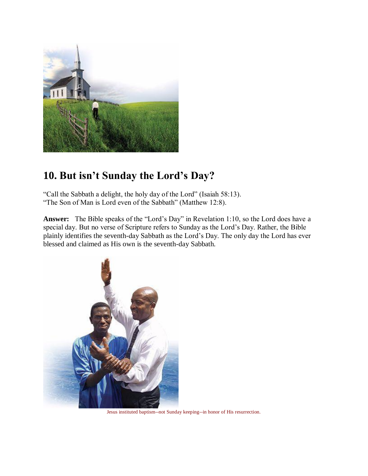

# **10. But isn't Sunday the Lord's Day?**

"Call the Sabbath a delight, the holy day of the Lord" (Isaiah 58:13). "The Son of Man is Lord even of the Sabbath" (Matthew 12:8).

**Answer:** The Bible speaks of the "Lord's Day" in Revelation 1:10, so the Lord does have a special day. But no verse of Scripture refers to Sunday as the Lord's Day. Rather, the Bible plainly identifies the seventh-day Sabbath as the Lord's Day. The only day the Lord has ever blessed and claimed as His own is the seventh-day Sabbath.



Jesus instituted baptism--not Sunday keeping--in honor of His resurrection.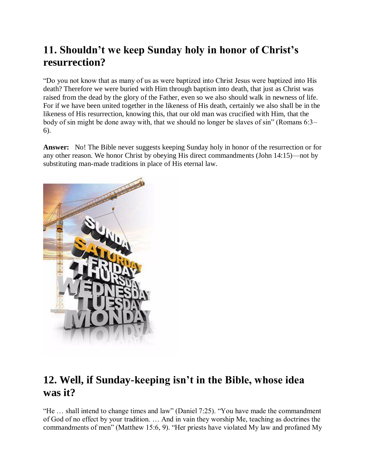# **11. Shouldn't we keep Sunday holy in honor of Christ's resurrection?**

"Do you not know that as many of us as were baptized into Christ Jesus were baptized into His death? Therefore we were buried with Him through baptism into death, that just as Christ was raised from the dead by the glory of the Father, even so we also should walk in newness of life. For if we have been united together in the likeness of His death, certainly we also shall be in the likeness of His resurrection, knowing this, that our old man was crucified with Him, that the body of sin might be done away with, that we should no longer be slaves of sin" (Romans 6:3– 6).

**Answer:** No! The Bible never suggests keeping Sunday holy in honor of the resurrection or for any other reason. We honor Christ by obeying His direct commandments (John 14:15)—not by substituting man-made traditions in place of His eternal law.



# **12. Well, if Sunday-keeping isn't in the Bible, whose idea was it?**

"He … shall intend to change times and law" (Daniel 7:25). "You have made the commandment of God of no effect by your tradition. … And in vain they worship Me, teaching as doctrines the commandments of men" (Matthew 15:6, 9). "Her priests have violated My law and profaned My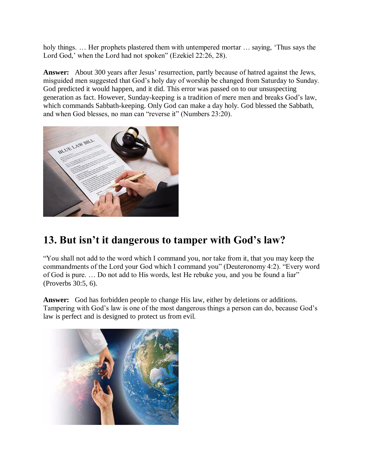holy things. ... Her prophets plastered them with untempered mortar ... saying, 'Thus says the Lord God,' when the Lord had not spoken" (Ezekiel 22:26, 28).

**Answer:** About 300 years after Jesus' resurrection, partly because of hatred against the Jews, misguided men suggested that God's holy day of worship be changed from Saturday to Sunday. God predicted it would happen, and it did. This error was passed on to our unsuspecting generation as fact. However, Sunday-keeping is a tradition of mere men and breaks God's law, which commands Sabbath-keeping. Only God can make a day holy. God blessed the Sabbath, and when God blesses, no man can "reverse it" (Numbers 23:20).



## **13. But isn't it dangerous to tamper with God's law?**

"You shall not add to the word which I command you, nor take from it, that you may keep the commandments of the Lord your God which I command you" (Deuteronomy 4:2). "Every word of God is pure. … Do not add to His words, lest He rebuke you, and you be found a liar" (Proverbs 30:5, 6).

**Answer:** God has forbidden people to change His law, either by deletions or additions. Tampering with God's law is one of the most dangerous things a person can do, because God's law is perfect and is designed to protect us from evil.

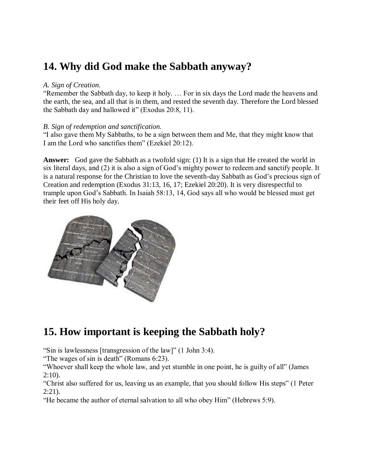### **14. Why did God make the Sabbath anyway?**

#### *A. Sign of Creation.*

"Remember the Sabbath day, to keep it holy. … For in six days the Lord made the heavens and the earth, the sea, and all that is in them, and rested the seventh day. Therefore the Lord blessed the Sabbath day and hallowed it" (Exodus 20:8, 11).

### *B. Sign of redemption and sanctification.*

"I also gave them My Sabbaths, to be a sign between them and Me, that they might know that I am the Lord who sanctifies them" (Ezekiel 20:12).

**Answer:** God gave the Sabbath as a twofold sign: (1) It is a sign that He created the world in six literal days, and (2) it is also a sign of God's mighty power to redeem and sanctify people. It is a natural response for the Christian to love the seventh-day Sabbath as God's precious sign of Creation and redemption (Exodus 31:13, 16, 17; Ezekiel 20:20). It is very disrespectful to trample upon God's Sabbath. In Isaiah 58:13, 14, God says all who would be blessed must get their feet off His holy day.



# **15. How important is keeping the Sabbath holy?**

"Sin is lawlessness [transgression of the law]" (1 John 3:4).

"The wages of sin is death" (Romans 6:23).

"Whoever shall keep the whole law, and yet stumble in one point, he is guilty of all" (James  $2:10$ ).

"Christ also suffered for us, leaving us an example, that you should follow His steps" (1 Peter  $2:21$ ).

"He became the author of eternal salvation to all who obey Him" (Hebrews 5:9).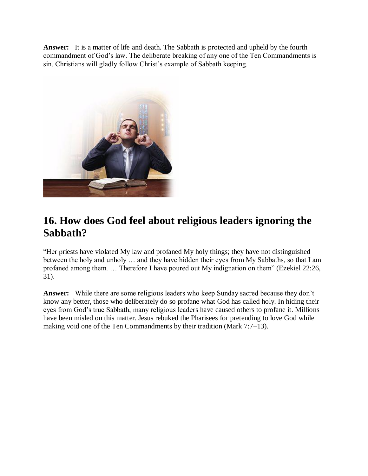**Answer:** It is a matter of life and death. The Sabbath is protected and upheld by the fourth commandment of God's law. The deliberate breaking of any one of the Ten Commandments is sin. Christians will gladly follow Christ's example of Sabbath keeping.



# **16. How does God feel about religious leaders ignoring the Sabbath?**

"Her priests have violated My law and profaned My holy things; they have not distinguished between the holy and unholy … and they have hidden their eyes from My Sabbaths, so that I am profaned among them. … Therefore I have poured out My indignation on them" (Ezekiel 22:26, 31).

**Answer:** While there are some religious leaders who keep Sunday sacred because they don't know any better, those who deliberately do so profane what God has called holy. In hiding their eyes from God's true Sabbath, many religious leaders have caused others to profane it. Millions have been misled on this matter. Jesus rebuked the Pharisees for pretending to love God while making void one of the Ten Commandments by their tradition (Mark 7:7–13).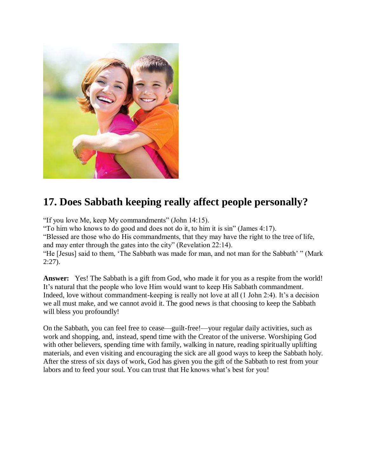

# **17. Does Sabbath keeping really affect people personally?**

"If you love Me, keep My commandments" (John 14:15).

"To him who knows to do good and does not do it, to him it is sin" (James 4:17).

"Blessed are those who do His commandments, that they may have the right to the tree of life, and may enter through the gates into the city" (Revelation 22:14).

"He [Jesus] said to them, 'The Sabbath was made for man, and not man for the Sabbath' " (Mark  $2:27$ ).

**Answer:** Yes! The Sabbath is a gift from God, who made it for you as a respite from the world! It's natural that the people who love Him would want to keep His Sabbath commandment. Indeed, love without commandment-keeping is really not love at all (1 John 2:4). It's a decision we all must make, and we cannot avoid it. The good news is that choosing to keep the Sabbath will bless you profoundly!

On the Sabbath, you can feel free to cease—guilt-free!—your regular daily activities, such as work and shopping, and, instead, spend time with the Creator of the universe. Worshiping God with other believers, spending time with family, walking in nature, reading spiritually uplifting materials, and even visiting and encouraging the sick are all good ways to keep the Sabbath holy. After the stress of six days of work, God has given you the gift of the Sabbath to rest from your labors and to feed your soul. You can trust that He knows what's best for you!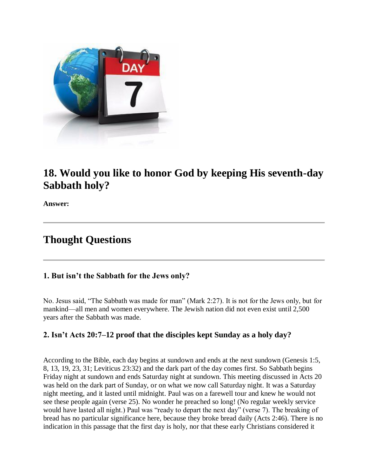

### **18. Would you like to honor God by keeping His seventh-day Sabbath holy?**

**Answer:**

### **Thought Questions**

### **1. But isn't the Sabbath for the Jews only?**

No. Jesus said, "The Sabbath was made for man" (Mark 2:27). It is not for the Jews only, but for mankind—all men and women everywhere. The Jewish nation did not even exist until 2,500 years after the Sabbath was made.

### **2. Isn't Acts 20:7–12 proof that the disciples kept Sunday as a holy day?**

According to the Bible, each day begins at sundown and ends at the next sundown (Genesis 1:5, 8, 13, 19, 23, 31; Leviticus 23:32) and the dark part of the day comes first. So Sabbath begins Friday night at sundown and ends Saturday night at sundown. This meeting discussed in Acts 20 was held on the dark part of Sunday, or on what we now call Saturday night. It was a Saturday night meeting, and it lasted until midnight. Paul was on a farewell tour and knew he would not see these people again (verse 25). No wonder he preached so long! (No regular weekly service would have lasted all night.) Paul was "ready to depart the next day" (verse 7). The breaking of bread has no particular significance here, because they broke bread daily (Acts 2:46). There is no indication in this passage that the first day is holy, nor that these early Christians considered it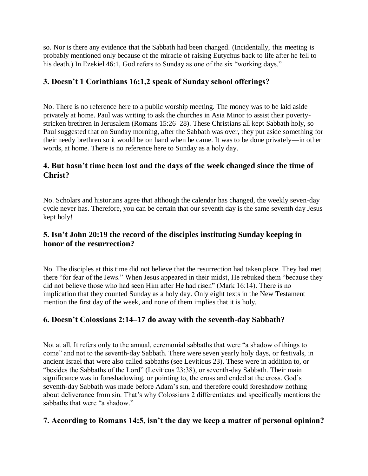so. Nor is there any evidence that the Sabbath had been changed. (Incidentally, this meeting is probably mentioned only because of the miracle of raising Eutychus back to life after he fell to his death.) In Ezekiel 46:1, God refers to Sunday as one of the six "working days."

### **3. Doesn't 1 Corinthians 16:1,2 speak of Sunday school offerings?**

No. There is no reference here to a public worship meeting. The money was to be laid aside privately at home. Paul was writing to ask the churches in Asia Minor to assist their povertystricken brethren in Jerusalem (Romans 15:26–28). These Christians all kept Sabbath holy, so Paul suggested that on Sunday morning, after the Sabbath was over, they put aside something for their needy brethren so it would be on hand when he came. It was to be done privately—in other words, at home. There is no reference here to Sunday as a holy day.

### **4. But hasn't time been lost and the days of the week changed since the time of Christ?**

No. Scholars and historians agree that although the calendar has changed, the weekly seven-day cycle never has. Therefore, you can be certain that our seventh day is the same seventh day Jesus kept holy!

### **5. Isn't John 20:19 the record of the disciples instituting Sunday keeping in honor of the resurrection?**

No. The disciples at this time did not believe that the resurrection had taken place. They had met there "for fear of the Jews." When Jesus appeared in their midst, He rebuked them "because they did not believe those who had seen Him after He had risen" (Mark 16:14). There is no implication that they counted Sunday as a holy day. Only eight texts in the New Testament mention the first day of the week, and none of them implies that it is holy.

### **6. Doesn't Colossians 2:14–17 do away with the seventh-day Sabbath?**

Not at all. It refers only to the annual, ceremonial sabbaths that were "a shadow of things to come" and not to the seventh-day Sabbath. There were seven yearly holy days, or festivals, in ancient Israel that were also called sabbaths (see Leviticus 23). These were in addition to, or "besides the Sabbaths of the Lord" (Leviticus 23:38), or seventh-day Sabbath. Their main significance was in foreshadowing, or pointing to, the cross and ended at the cross. God's seventh-day Sabbath was made before Adam's sin, and therefore could foreshadow nothing about deliverance from sin. That's why Colossians 2 differentiates and specifically mentions the sabbaths that were "a shadow."

### **7. According to Romans 14:5, isn't the day we keep a matter of personal opinion?**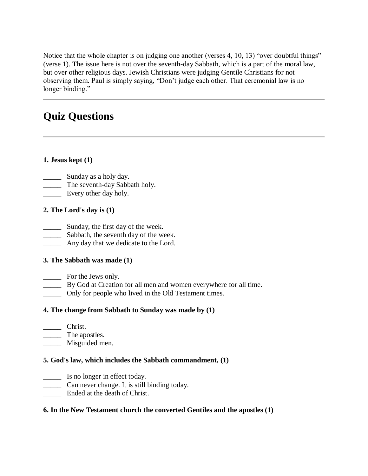Notice that the whole chapter is on judging one another (verses 4, 10, 13) "over doubtful things" (verse 1). The issue here is not over the seventh-day Sabbath, which is a part of the moral law, but over other religious days. Jewish Christians were judging Gentile Christians for not observing them. Paul is simply saying, "Don't judge each other. That ceremonial law is no longer binding."

# **Quiz Questions**

### **1. Jesus kept (1)**

- \_\_\_\_\_\_\_\_ Sunday as a holy day.
- The seventh-day Sabbath holy.
- **Every other day holy.**

### **2. The Lord's day is (1)**

- \_\_\_\_\_ Sunday, the first day of the week.
- \_\_\_\_\_ Sabbath, the seventh day of the week.
- \_\_\_\_\_ Any day that we dedicate to the Lord.

### **3. The Sabbath was made (1)**

- \_\_\_\_\_ For the Jews only.
- \_\_\_\_\_ By God at Creation for all men and women everywhere for all time.
- \_\_\_\_\_ Only for people who lived in the Old Testament times.

### **4. The change from Sabbath to Sunday was made by (1)**

- \_\_\_\_\_ Christ.
- \_\_\_\_\_ The apostles.
- \_\_\_\_\_ Misguided men.

### **5. God's law, which includes the Sabbath commandment, (1)**

- \_\_\_\_\_ Is no longer in effect today.
- \_\_\_\_\_ Can never change. It is still binding today.
- Ended at the death of Christ.

### **6. In the New Testament church the converted Gentiles and the apostles (1)**